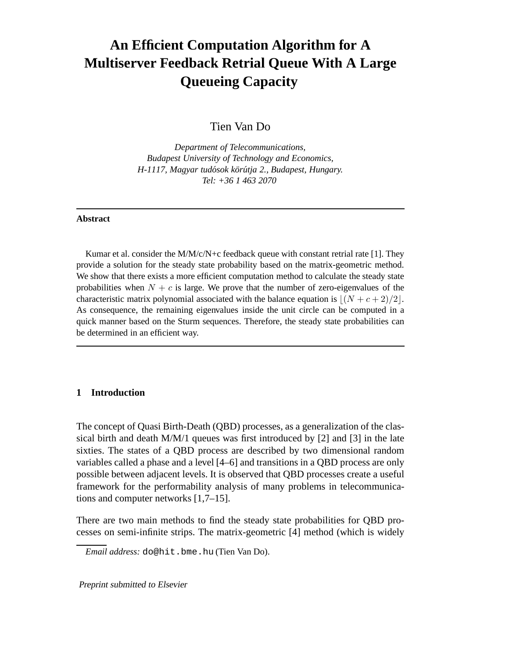# **An Efficient Computation Algorithm for A Multiserver Feedback Retrial Queue With A Large Queueing Capacity**

Tien Van Do

*Department of Telecommunications, Budapest University of Technology and Economics, H-1117, Magyar tudósok körútja 2., Budapest, Hungary. Tel: +36 1 463 2070*

#### **Abstract**

Kumar et al. consider the  $M/M/c/N+c$  feedback queue with constant retrial rate [1]. They provide a solution for the steady state probability based on the matrix-geometric method. We show that there exists a more efficient computation method to calculate the steady state probabilities when  $N + c$  is large. We prove that the number of zero-eigenvalues of the characteristic matrix polynomial associated with the balance equation is  $|(N + c + 2)/2|$ . As consequence, the remaining eigenvalues inside the unit circle can be computed in a quick manner based on the Sturm sequences. Therefore, the steady state probabilities can be determined in an efficient way.

### **1 Introduction**

The concept of Quasi Birth-Death (QBD) processes, as a generalization of the classical birth and death  $M/M/1$  queues was first introduced by [2] and [3] in the late sixties. The states of a QBD process are described by two dimensional random variables called a phase and a level [4–6] and transitions in a QBD process are only possible between adjacent levels. It is observed that QBD processes create a useful framework for the performability analysis of many problems in telecommunications and computer networks [1,7–15].

There are two main methods to find the steady state probabilities for QBD processes on semi-infinite strips. The matrix-geometric [4] method (which is widely

Preprint submitted to Elsevier

*Email address:* do@hit.bme.hu (Tien Van Do).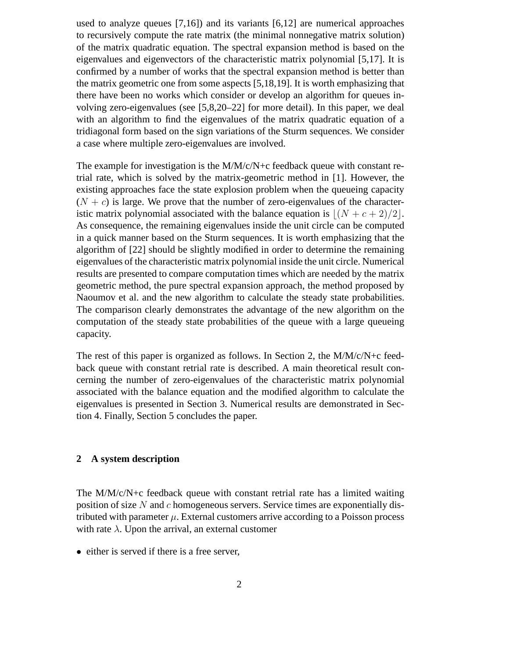used to analyze queues [7,16]) and its variants [6,12] are numerical approaches to recursively compute the rate matrix (the minimal nonnegative matrix solution) of the matrix quadratic equation. The spectral expansion method is based on the eigenvalues and eigenvectors of the characteristic matrix polynomial [5,17]. It is confirmed by a number of works that the spectral expansion method is better than the matrix geometric one from some aspects [5,18,19]. It is worth emphasizing that there have been no works which consider or develop an algorithm for queues involving zero-eigenvalues (see [5,8,20–22] for more detail). In this paper, we deal with an algorithm to find the eigenvalues of the matrix quadratic equation of a tridiagonal form based on the sign variations of the Sturm sequences. We consider a case where multiple zero-eigenvalues are involved.

The example for investigation is the  $M/M/c/N+c$  feedback queue with constant retrial rate, which is solved by the matrix-geometric method in [1]. However, the existing approaches face the state explosion problem when the queueing capacity  $(N + c)$  is large. We prove that the number of zero-eigenvalues of the characteristic matrix polynomial associated with the balance equation is  $|(N + c + 2)/2|$ . As consequence, the remaining eigenvalues inside the unit circle can be computed in a quick manner based on the Sturm sequences. It is worth emphasizing that the algorithm of [22] should be slightly modified in order to determine the remaining eigenvalues of the characteristic matrix polynomial inside the unit circle. Numerical results are presented to compare computation times which are needed by the matrix geometric method, the pure spectral expansion approach, the method proposed by Naoumov et al. and the new algorithm to calculate the steady state probabilities. The comparison clearly demonstrates the advantage of the new algorithm on the computation of the steady state probabilities of the queue with a large queueing capacity.

The rest of this paper is organized as follows. In Section 2, the M/M/c/N+c feedback queue with constant retrial rate is described. A main theoretical result concerning the number of zero-eigenvalues of the characteristic matrix polynomial associated with the balance equation and the modified algorithm to calculate the eigenvalues is presented in Section 3. Numerical results are demonstrated in Section 4. Finally, Section 5 concludes the paper.

## **2 A system description**

The M/M/c/N+c feedback queue with constant retrial rate has a limited waiting position of size  $N$  and c homogeneous servers. Service times are exponentially distributed with parameter  $\mu$ . External customers arrive according to a Poisson process with rate  $\lambda$ . Upon the arrival, an external customer

• either is served if there is a free server,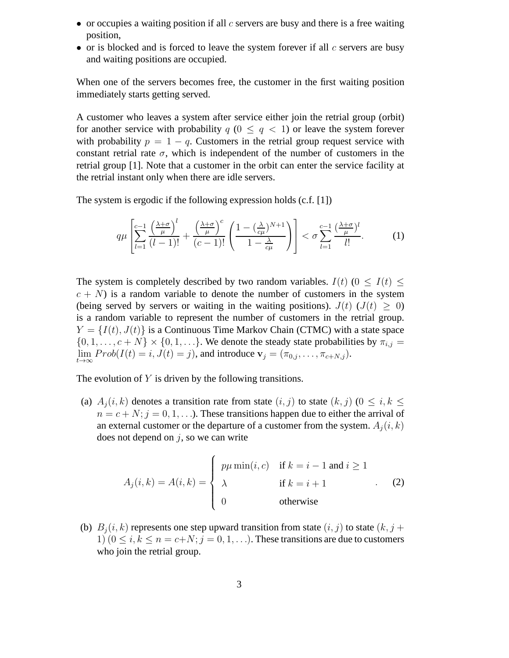- or occupies a waiting position if all  $c$  servers are busy and there is a free waiting position,
- or is blocked and is forced to leave the system forever if all  $c$  servers are busy and waiting positions are occupied.

When one of the servers becomes free, the customer in the first waiting position immediately starts getting served.

A customer who leaves a system after service either join the retrial group (orbit) for another service with probability  $q$  ( $0 \leq q \leq 1$ ) or leave the system forever with probability  $p = 1 - q$ . Customers in the retrial group request service with constant retrial rate  $\sigma$ , which is independent of the number of customers in the retrial group [1]. Note that a customer in the orbit can enter the service facility at the retrial instant only when there are idle servers.

The system is ergodic if the following expression holds (c.f. [1])

$$
q\mu\left[\sum_{l=1}^{c-1}\frac{\left(\frac{\lambda+\sigma}{\mu}\right)^l}{(l-1)!}+\frac{\left(\frac{\lambda+\sigma}{\mu}\right)^c}{(c-1)!}\left(\frac{1-\left(\frac{\lambda}{c\mu}\right)^{N+1}}{1-\frac{\lambda}{c\mu}}\right)\right]<\sigma\sum_{l=1}^{c-1}\frac{\left(\frac{\lambda+\sigma}{\mu}\right)^l}{l!}.\tag{1}
$$

The system is completely described by two random variables.  $I(t)$  ( $0 \leq I(t) \leq$  $c + N$ ) is a random variable to denote the number of customers in the system (being served by servers or waiting in the waiting positions).  $J(t)$  ( $J(t) \geq 0$ ) is a random variable to represent the number of customers in the retrial group.  $Y = \{I(t), J(t)\}\$ is a Continuous Time Markov Chain (CTMC) with a state space  $\{0, 1, \ldots, c + N\} \times \{0, 1, \ldots\}$ . We denote the steady state probabilities by  $\pi_{i,j} =$  $\lim_{t\to\infty} Prob(I(t) = i, J(t) = j)$ , and introduce  $\mathbf{v}_j = (\pi_{0,j}, \dots, \pi_{c+N,j}).$ 

The evolution of  $Y$  is driven by the following transitions.

(a)  $A_i(i, k)$  denotes a transition rate from state  $(i, j)$  to state  $(k, j)$   $(0 \le i, k \le j)$  $n = c + N$ ;  $j = 0, 1, \ldots$ ). These transitions happen due to either the arrival of an external customer or the departure of a customer from the system.  $A_i(i, k)$ does not depend on  $j$ , so we can write

$$
A_j(i,k) = A(i,k) = \begin{cases} p\mu \min(i,c) & \text{if } k = i - 1 \text{ and } i \ge 1 \\ \lambda & \text{if } k = i + 1 \\ 0 & \text{otherwise} \end{cases}
$$
 (2)

(b)  $B_i(i, k)$  represents one step upward transition from state  $(i, j)$  to state  $(k, j + 1)$ 1)  $(0 \le i, k \le n = c+N; j = 0, 1, \ldots)$ . These transitions are due to customers who join the retrial group.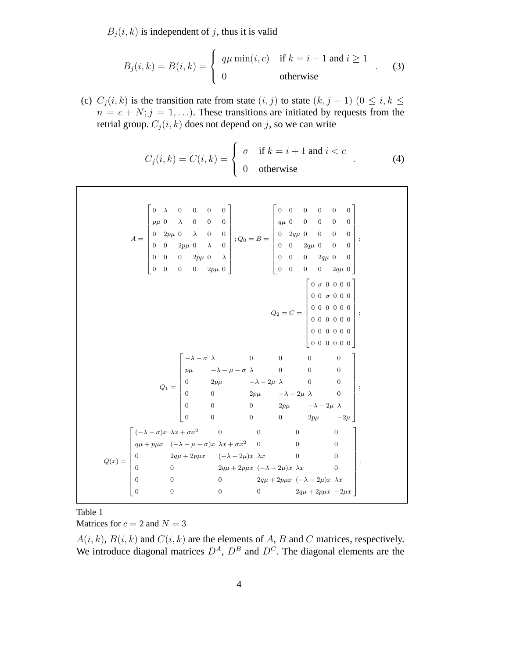$B_i(i, k)$  is independent of j, thus it is valid

$$
B_j(i,k) = B(i,k) = \begin{cases} q\mu \min(i,c) & \text{if } k = i - 1 \text{ and } i \ge 1 \\ 0 & \text{otherwise} \end{cases}
$$
 (3)

(c)  $C_j(i, k)$  is the transition rate from state  $(i, j)$  to state  $(k, j - 1)$   $(0 \le i, k \le j)$  $n = c + N; j = 1, \ldots$ ). These transitions are initiated by requests from the retrial group.  $C_i(i, k)$  does not depend on j, so we can write

$$
C_j(i,k) = C(i,k) = \begin{cases} \sigma & \text{if } k = i+1 \text{ and } i < c \\ 0 & \text{otherwise} \end{cases} \tag{4}
$$

| $A=\begin{bmatrix} 0 & \lambda & 0 & 0 & 0 & 0 \\ p\mu & 0 & \lambda & 0 & 0 & 0 \\ 0 & 2p\mu & 0 & \lambda & 0 & 0 \\ 0 & 0 & 2p\mu & 0 & \lambda & 0 \\ 0 & 0 & 0 & 2p\mu & 0 & \lambda \\ 0 & 0 & 0 & 0 & 2p\mu & 0 \end{bmatrix}; Q_0=B=\begin{bmatrix} 0 & 0 & 0 & 0 & 0 & 0 \\ q\mu & 0 & 0 & 0 & 0 & 0 \\ 0 & 2q\mu & 0 & 0 & 0 & 0 \\ 0 & 0 & 2q\mu & 0 & 0 & $                                                   |  |                                                                                                                                                                                                                                                                                                                                |  |  |  |  |  |  |  |
|---------------------------------------------------------------------------------------------------------------------------------------------------------------------------------------------------------------------------------------------------------------------------------------------------------------------------------------------------------------------------------------------------------------------------|--|--------------------------------------------------------------------------------------------------------------------------------------------------------------------------------------------------------------------------------------------------------------------------------------------------------------------------------|--|--|--|--|--|--|--|
|                                                                                                                                                                                                                                                                                                                                                                                                                           |  |                                                                                                                                                                                                                                                                                                                                |  |  |  |  |  |  |  |
|                                                                                                                                                                                                                                                                                                                                                                                                                           |  |                                                                                                                                                                                                                                                                                                                                |  |  |  |  |  |  |  |
|                                                                                                                                                                                                                                                                                                                                                                                                                           |  |                                                                                                                                                                                                                                                                                                                                |  |  |  |  |  |  |  |
|                                                                                                                                                                                                                                                                                                                                                                                                                           |  |                                                                                                                                                                                                                                                                                                                                |  |  |  |  |  |  |  |
|                                                                                                                                                                                                                                                                                                                                                                                                                           |  |                                                                                                                                                                                                                                                                                                                                |  |  |  |  |  |  |  |
|                                                                                                                                                                                                                                                                                                                                                                                                                           |  |                                                                                                                                                                                                                                                                                                                                |  |  |  |  |  |  |  |
|                                                                                                                                                                                                                                                                                                                                                                                                                           |  |                                                                                                                                                                                                                                                                                                                                |  |  |  |  |  |  |  |
|                                                                                                                                                                                                                                                                                                                                                                                                                           |  |                                                                                                                                                                                                                                                                                                                                |  |  |  |  |  |  |  |
|                                                                                                                                                                                                                                                                                                                                                                                                                           |  |                                                                                                                                                                                                                                                                                                                                |  |  |  |  |  |  |  |
|                                                                                                                                                                                                                                                                                                                                                                                                                           |  |                                                                                                                                                                                                                                                                                                                                |  |  |  |  |  |  |  |
|                                                                                                                                                                                                                                                                                                                                                                                                                           |  |                                                                                                                                                                                                                                                                                                                                |  |  |  |  |  |  |  |
|                                                                                                                                                                                                                                                                                                                                                                                                                           |  |                                                                                                                                                                                                                                                                                                                                |  |  |  |  |  |  |  |
|                                                                                                                                                                                                                                                                                                                                                                                                                           |  | $Q_1 = \begin{bmatrix} -\lambda - \sigma & \lambda & 0 & 0 & 0 & 0 \\ p\mu & -\lambda - \mu - \sigma & \lambda & 0 & 0 & 0 \\ 0 & 2p\mu & -\lambda - 2\mu & \lambda & 0 & 0 \\ 0 & 0 & 2p\mu & -\lambda - 2\mu & \lambda & 0 \\ 0 & 0 & 0 & 2p\mu & -\lambda - 2\mu & \lambda \\ 0 & 0 & 0 & 0 & 2p\mu & -2\mu \end{bmatrix};$ |  |  |  |  |  |  |  |
|                                                                                                                                                                                                                                                                                                                                                                                                                           |  |                                                                                                                                                                                                                                                                                                                                |  |  |  |  |  |  |  |
|                                                                                                                                                                                                                                                                                                                                                                                                                           |  |                                                                                                                                                                                                                                                                                                                                |  |  |  |  |  |  |  |
|                                                                                                                                                                                                                                                                                                                                                                                                                           |  |                                                                                                                                                                                                                                                                                                                                |  |  |  |  |  |  |  |
|                                                                                                                                                                                                                                                                                                                                                                                                                           |  |                                                                                                                                                                                                                                                                                                                                |  |  |  |  |  |  |  |
|                                                                                                                                                                                                                                                                                                                                                                                                                           |  |                                                                                                                                                                                                                                                                                                                                |  |  |  |  |  |  |  |
| $Q(x) = \begin{bmatrix} (-\lambda-\sigma)x & \lambda x + \sigma x^2 & 0 & 0 & 0 & 0 \\ q\mu + p\mu x & (-\lambda-\mu-\sigma)x & \lambda x + \sigma x^2 & 0 & 0 & 0 \\ 0 & 2q\mu + 2p\mu x & (-\lambda-2\mu)x & \lambda x & 0 & 0 \\ 0 & 0 & 2q\mu + 2p\mu x & (-\lambda-2\mu)x & \lambda x & 0 \\ 0 & 0 & 0 & 2q\mu + 2p\mu x & (-\lambda-2\mu)x & \lambda x \\ 0 & 0 & 0 & 0 & 2q\mu + 2p\mu x & -2\mu x \end{bmatrix}.$ |  |                                                                                                                                                                                                                                                                                                                                |  |  |  |  |  |  |  |
|                                                                                                                                                                                                                                                                                                                                                                                                                           |  |                                                                                                                                                                                                                                                                                                                                |  |  |  |  |  |  |  |
|                                                                                                                                                                                                                                                                                                                                                                                                                           |  |                                                                                                                                                                                                                                                                                                                                |  |  |  |  |  |  |  |

Table 1 Matrices for  $c = 2$  and  $N = 3$ 

 $A(i, k)$ ,  $B(i, k)$  and  $C(i, k)$  are the elements of A, B and C matrices, respectively. We introduce diagonal matrices  $D^A$ ,  $D^B$  and  $D^C$ . The diagonal elements are the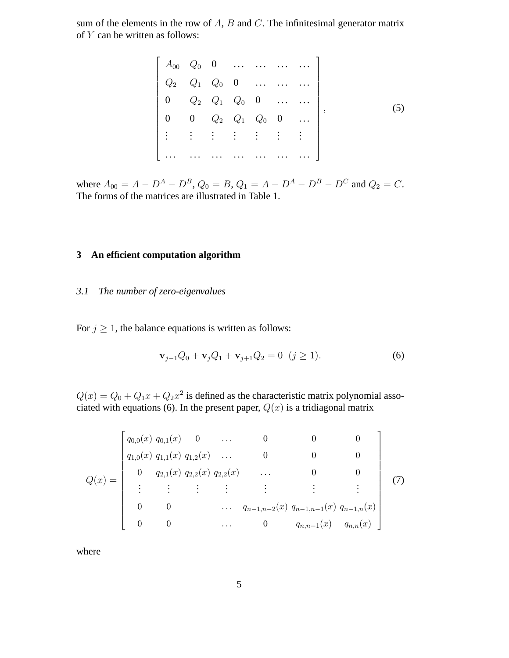sum of the elements in the row of  $A$ ,  $B$  and  $C$ . The infinitesimal generator matrix of  $Y$  can be written as follows:

$$
\begin{bmatrix}\nA_{00} & Q_0 & 0 & \dots & \dots & \dots & \dots \\
Q_2 & Q_1 & Q_0 & 0 & \dots & \dots & \dots \\
0 & Q_2 & Q_1 & Q_0 & 0 & \dots & \dots \\
0 & 0 & Q_2 & Q_1 & Q_0 & 0 & \dots \\
\vdots & \vdots & \vdots & \vdots & \vdots & \vdots & \vdots\n\end{bmatrix},
$$
\n(5)

where  $A_{00} = A - D^A - D^B$ ,  $Q_0 = B$ ,  $Q_1 = A - D^A - D^B - D^C$  and  $Q_2 = C$ . The forms of the matrices are illustrated in Table 1.

# **3 An efficient computation algorithm**

## *3.1 The number of zero-eigenvalues*

For  $j \geq 1$ , the balance equations is written as follows:

$$
\mathbf{v}_{j-1}Q_0 + \mathbf{v}_j Q_1 + \mathbf{v}_{j+1}Q_2 = 0 \ \ (j \ge 1). \tag{6}
$$

 $Q(x) = Q_0 + Q_1 x + Q_2 x^2$  is defined as the characteristic matrix polynomial associated with equations (6). In the present paper,  $Q(x)$  is a tridiagonal matrix

$$
Q(x) = \begin{bmatrix} q_{0,0}(x) & q_{0,1}(x) & 0 & \dots & 0 & 0 & 0 \\ q_{1,0}(x) & q_{1,1}(x) & q_{1,2}(x) & \dots & 0 & 0 & 0 \\ 0 & q_{2,1}(x) & q_{2,2}(x) & q_{2,2}(x) & \dots & 0 & 0 \\ \vdots & \vdots & \vdots & \vdots & \vdots & \vdots & \vdots \\ 0 & 0 & \dots & q_{n-1,n-2}(x) & q_{n-1,n-1}(x) & q_{n-1,n}(x) \\ 0 & 0 & \dots & 0 & q_{n,n-1}(x) & q_{n,n}(x) \end{bmatrix}
$$
(7)

where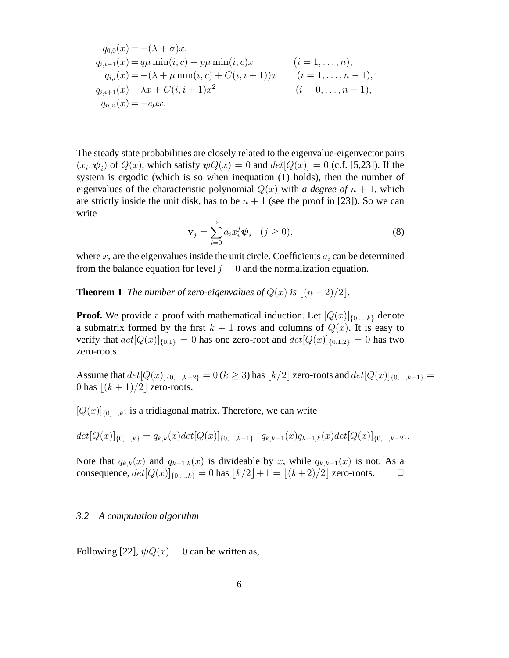$$
q_{0,0}(x) = -(\lambda + \sigma)x,
$$
  
\n
$$
q_{i,i-1}(x) = q\mu \min(i,c) + p\mu \min(i,c)x
$$
 (*i* = 1,...,*n*),  
\n
$$
q_{i,i}(x) = -(\lambda + \mu \min(i,c) + C(i,i+1))x
$$
 (*i* = 1,...,*n* - 1),  
\n
$$
q_{i,i+1}(x) = \lambda x + C(i,i+1)x^2
$$
 (*i* = 0,...,*n* - 1),  
\n
$$
q_{n,n}(x) = -c\mu x.
$$

The steady state probabilities are closely related to the eigenvalue-eigenvector pairs  $(x_i, \psi_i)$  of  $Q(x)$ , which satisfy  $\psi Q(x) = 0$  and  $det[Q(x)] = 0$  (c.f. [5,23]). If the system is ergodic (which is so when inequation (1) holds), then the number of eigenvalues of the characteristic polynomial  $Q(x)$  with *a degree of*  $n + 1$ , which are strictly inside the unit disk, has to be  $n + 1$  (see the proof in [23]). So we can write

$$
\mathbf{v}_j = \sum_{i=0}^n a_i x_i^j \boldsymbol{\psi}_i \quad (j \ge 0), \tag{8}
$$

where  $x_i$  are the eigenvalues inside the unit circle. Coefficients  $a_i$  can be determined from the balance equation for level  $j = 0$  and the normalization equation.

**Theorem 1** *The number of zero-eigenvalues of*  $Q(x)$  *is*  $|(n+2)/2|$ *.* 

**Proof.** We provide a proof with mathematical induction. Let  $[Q(x)]_{\{0,\ldots,k\}}$  denote a submatrix formed by the first  $k + 1$  rows and columns of  $Q(x)$ . It is easy to verify that  $det[Q(x)]_{\{0,1\}} = 0$  has one zero-root and  $det[Q(x)]_{\{0,1,2\}} = 0$  has two zero-roots.

Assume that  $det[Q(x)]_{\{0,\ldots,k-2\}} = 0$  ( $k \ge 3$ ) has  $\lfloor k/2 \rfloor$  zero-roots and  $det[Q(x)]_{\{0,\ldots,k-1\}} =$ 0 has  $|(k + 1)/2|$  zero-roots.

 $[Q(x)]_{\{0,\ldots,k\}}$  is a tridiagonal matrix. Therefore, we can write

$$
det[Q(x)]_{\{0,\ldots,k\}} = q_{k,k}(x)det[Q(x)]_{\{0,\ldots,k-1\}} - q_{k,k-1}(x)q_{k-1,k}(x)det[Q(x)]_{\{0,\ldots,k-2\}}.
$$

Note that  $q_{k,k}(x)$  and  $q_{k-1,k}(x)$  is divideable by x, while  $q_{k,k-1}(x)$  is not. As a consequence,  $det[Q(x)]_{\{0,\ldots,k\}} = 0$  has  $\lfloor k/2 \rfloor + 1 = \lfloor (k + 2)/2 \rfloor$  zero-roots.  $\Box$ 

### *3.2 A computation algorithm*

Following [22],  $\psi Q(x) = 0$  can be written as,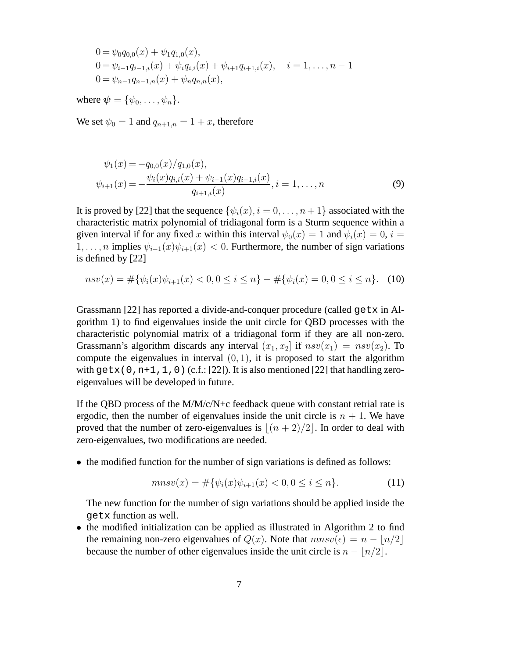$$
0 = \psi_0 q_{0,0}(x) + \psi_1 q_{1,0}(x),
$$
  
\n
$$
0 = \psi_{i-1} q_{i-1,i}(x) + \psi_i q_{i,i}(x) + \psi_{i+1} q_{i+1,i}(x), \quad i = 1, ..., n-1
$$
  
\n
$$
0 = \psi_{n-1} q_{n-1,n}(x) + \psi_n q_{n,n}(x),
$$

where  $\boldsymbol{\psi} = {\psi_0, \ldots, \psi_n}.$ 

We set  $\psi_0 = 1$  and  $q_{n+1,n} = 1 + x$ , therefore

$$
\psi_1(x) = -q_{0,0}(x)/q_{1,0}(x),
$$
  
\n
$$
\psi_{i+1}(x) = -\frac{\psi_i(x)q_{i,i}(x) + \psi_{i-1}(x)q_{i-1,i}(x)}{q_{i+1,i}(x)}, i = 1,...,n
$$
\n(9)

It is proved by [22] that the sequence  $\{\psi_i(x), i = 0, \ldots, n+1\}$  associated with the characteristic matrix polynomial of tridiagonal form is a Sturm sequence within a given interval if for any fixed x within this interval  $\psi_0(x) = 1$  and  $\psi_i(x) = 0$ ,  $i =$ 1, ..., *n* implies  $\psi_{i-1}(x)\psi_{i+1}(x) < 0$ . Furthermore, the number of sign variations is defined by [22]

 $nsv(x) = #\{\psi_i(x)\psi_{i+1}(x) < 0, 0 \leq i \leq n\} + #\{\psi_i(x) = 0, 0 \leq i \leq n\}.$  (10)

Grassmann [22] has reported a divide-and-conquer procedure (called getx in Algorithm 1) to find eigenvalues inside the unit circle for QBD processes with the characteristic polynomial matrix of a tridiagonal form if they are all non-zero. Grassmann's algorithm discards any interval  $(x_1, x_2]$  if  $nsv(x_1) = nsv(x_2)$ . To compute the eigenvalues in interval  $(0, 1)$ , it is proposed to start the algorithm with getx(0,n+1,1,0) (c.f.: [22]). It is also mentioned [22] that handling zeroeigenvalues will be developed in future.

If the QBD process of the  $M/M/c/N+c$  feedback queue with constant retrial rate is ergodic, then the number of eigenvalues inside the unit circle is  $n + 1$ . We have proved that the number of zero-eigenvalues is  $|(n + 2)/2|$ . In order to deal with zero-eigenvalues, two modifications are needed.

• the modified function for the number of sign variations is defined as follows:

$$
mnsv(x) = #\{\psi_i(x)\psi_{i+1}(x) < 0, 0 \le i \le n\}.\tag{11}
$$

The new function for the number of sign variations should be applied inside the getx function as well.

• the modified initialization can be applied as illustrated in Algorithm 2 to find the remaining non-zero eigenvalues of  $Q(x)$ . Note that  $mnsv(\epsilon) = n - |n/2|$ because the number of other eigenvalues inside the unit circle is  $n - \lfloor n/2 \rfloor$ .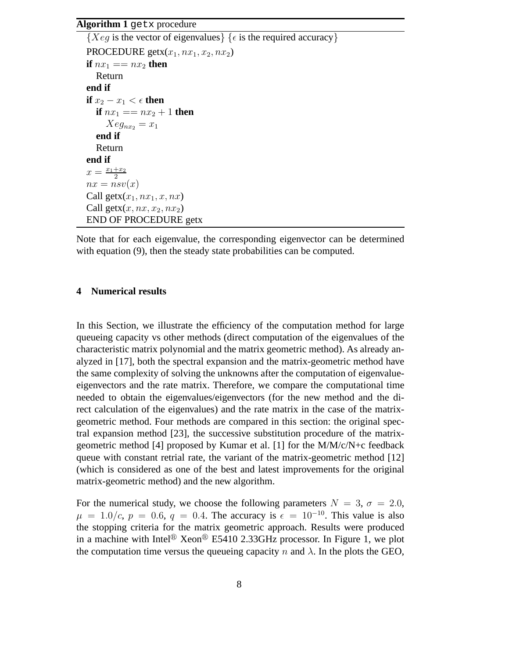#### **Algorithm 1** getx procedure

```
{Xeg \text{ is the vector of eigenvalues}} \in {\epsilon \text{ is the required accuracy}}PROCEDURE getx(x_1, nx_1, x_2, nx_2)if nx_1 == nx_2 then
  Return
end if
if x_2 - x_1 < \epsilon then
  if nx_1 == nx_2 + 1 then
     Xeg_{nx_2} = x_1end if
  Return
end if
x = \frac{x_1+x_2}{2}2
nx = nsv(x)Call getx(x_1, nx_1, x, nx)Call getx(x, nx, x_2, nx_2)END OF PROCEDURE getx
```
Note that for each eigenvalue, the corresponding eigenvector can be determined with equation (9), then the steady state probabilities can be computed.

### **4 Numerical results**

In this Section, we illustrate the efficiency of the computation method for large queueing capacity vs other methods (direct computation of the eigenvalues of the characteristic matrix polynomial and the matrix geometric method). As already analyzed in [17], both the spectral expansion and the matrix-geometric method have the same complexity of solving the unknowns after the computation of eigenvalueeigenvectors and the rate matrix. Therefore, we compare the computational time needed to obtain the eigenvalues/eigenvectors (for the new method and the direct calculation of the eigenvalues) and the rate matrix in the case of the matrixgeometric method. Four methods are compared in this section: the original spectral expansion method [23], the successive substitution procedure of the matrixgeometric method [4] proposed by Kumar et al. [1] for the M/M/c/N+c feedback queue with constant retrial rate, the variant of the matrix-geometric method [12] (which is considered as one of the best and latest improvements for the original matrix-geometric method) and the new algorithm.

For the numerical study, we choose the following parameters  $N = 3$ ,  $\sigma = 2.0$ ,  $\mu = 1.0/c$ ,  $p = 0.6$ ,  $q = 0.4$ . The accuracy is  $\epsilon = 10^{-10}$ . This value is also the stopping criteria for the matrix geometric approach. Results were produced in a machine with Intel<sup>®</sup> Xeon<sup>®</sup> E5410 2.33GHz processor. In Figure 1, we plot the computation time versus the queueing capacity n and  $\lambda$ . In the plots the GEO,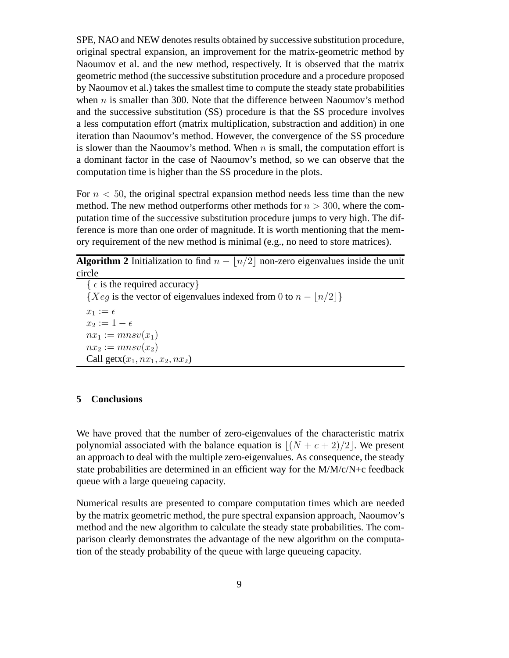SPE, NAO and NEW denotes results obtained by successive substitution procedure, original spectral expansion, an improvement for the matrix-geometric method by Naoumov et al. and the new method, respectively. It is observed that the matrix geometric method (the successive substitution procedure and a procedure proposed by Naoumov et al.) takes the smallest time to compute the steady state probabilities when  $n$  is smaller than 300. Note that the difference between Naoumov's method and the successive substitution (SS) procedure is that the SS procedure involves a less computation effort (matrix multiplication, substraction and addition) in one iteration than Naoumov's method. However, the convergence of the SS procedure is slower than the Naoumov's method. When  $n$  is small, the computation effort is a dominant factor in the case of Naoumov's method, so we can observe that the computation time is higher than the SS procedure in the plots.

For  $n < 50$ , the original spectral expansion method needs less time than the new method. The new method outperforms other methods for  $n > 300$ , where the computation time of the successive substitution procedure jumps to very high. The difference is more than one order of magnitude. It is worth mentioning that the memory requirement of the new method is minimal (e.g., no need to store matrices).

**Algorithm 2** Initialization to find  $n - \lfloor n/2 \rfloor$  non-zero eigenvalues inside the unit circle

{  $\epsilon$  is the required accuracy} {*Xeq* is the vector of eigenvalues indexed from 0 to  $n - |n/2|$ }  $x_1 := \epsilon$  $x_2 := 1 - \epsilon$  $nx_1 := mnsv(x_1)$  $nx_2 := mnsv(x_2)$ Call getx $(x_1, nx_1, x_2, nx_2)$ 

#### **5 Conclusions**

We have proved that the number of zero-eigenvalues of the characteristic matrix polynomial associated with the balance equation is  $|(N + c + 2)/2|$ . We present an approach to deal with the multiple zero-eigenvalues. As consequence, the steady state probabilities are determined in an efficient way for the M/M/c/N+c feedback queue with a large queueing capacity.

Numerical results are presented to compare computation times which are needed by the matrix geometric method, the pure spectral expansion approach, Naoumov's method and the new algorithm to calculate the steady state probabilities. The comparison clearly demonstrates the advantage of the new algorithm on the computation of the steady probability of the queue with large queueing capacity.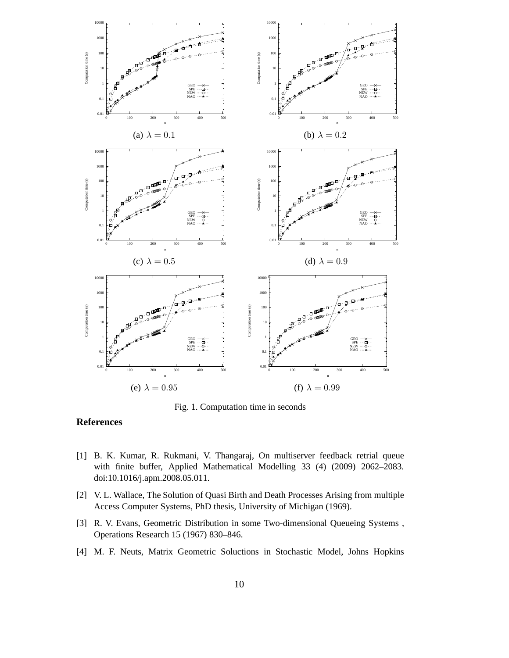

Fig. 1. Computation time in seconds

## **References**

- [1] B. K. Kumar, R. Rukmani, V. Thangaraj, On multiserver feedback retrial queue with finite buffer, Applied Mathematical Modelling 33 (4) (2009) 2062–2083. doi:10.1016/j.apm.2008.05.011.
- [2] V. L. Wallace, The Solution of Quasi Birth and Death Processes Arising from multiple Access Computer Systems, PhD thesis, University of Michigan (1969).
- [3] R. V. Evans, Geometric Distribution in some Two-dimensional Queueing Systems , Operations Research 15 (1967) 830–846.
- [4] M. F. Neuts, Matrix Geometric Soluctions in Stochastic Model, Johns Hopkins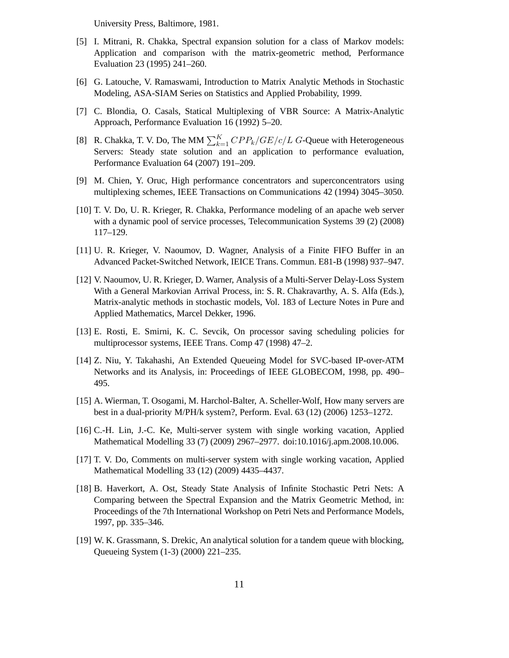University Press, Baltimore, 1981.

- [5] I. Mitrani, R. Chakka, Spectral expansion solution for a class of Markov models: Application and comparison with the matrix-geometric method, Performance Evaluation 23 (1995) 241–260.
- [6] G. Latouche, V. Ramaswami, Introduction to Matrix Analytic Methods in Stochastic Modeling, ASA-SIAM Series on Statistics and Applied Probability, 1999.
- [7] C. Blondia, O. Casals, Statical Multiplexing of VBR Source: A Matrix-Analytic Approach, Performance Evaluation 16 (1992) 5–20.
- [8] R. Chakka, T. V. Do, The MM  $\sum_{k=1}^{K} CPP_k/GE/c/L$  G-Queue with Heterogeneous Servers: Steady state solution and an application to performance evaluation, Performance Evaluation 64 (2007) 191–209.
- [9] M. Chien, Y. Oruc, High performance concentrators and superconcentrators using multiplexing schemes, IEEE Transactions on Communications 42 (1994) 3045–3050.
- [10] T. V. Do, U. R. Krieger, R. Chakka, Performance modeling of an apache web server with a dynamic pool of service processes, Telecommunication Systems 39 (2) (2008) 117–129.
- [11] U. R. Krieger, V. Naoumov, D. Wagner, Analysis of a Finite FIFO Buffer in an Advanced Packet-Switched Network, IEICE Trans. Commun. E81-B (1998) 937–947.
- [12] V. Naoumov, U. R. Krieger, D. Warner, Analysis of a Multi-Server Delay-Loss System With a General Markovian Arrival Process, in: S. R. Chakravarthy, A. S. Alfa (Eds.), Matrix-analytic methods in stochastic models, Vol. 183 of Lecture Notes in Pure and Applied Mathematics, Marcel Dekker, 1996.
- [13] E. Rosti, E. Smirni, K. C. Sevcik, On processor saving scheduling policies for multiprocessor systems, IEEE Trans. Comp 47 (1998) 47–2.
- [14] Z. Niu, Y. Takahashi, An Extended Queueing Model for SVC-based IP-over-ATM Networks and its Analysis, in: Proceedings of IEEE GLOBECOM, 1998, pp. 490– 495.
- [15] A. Wierman, T. Osogami, M. Harchol-Balter, A. Scheller-Wolf, How many servers are best in a dual-priority M/PH/k system?, Perform. Eval. 63 (12) (2006) 1253–1272.
- [16] C.-H. Lin, J.-C. Ke, Multi-server system with single working vacation, Applied Mathematical Modelling 33 (7) (2009) 2967–2977. doi:10.1016/j.apm.2008.10.006.
- [17] T. V. Do, Comments on multi-server system with single working vacation, Applied Mathematical Modelling 33 (12) (2009) 4435–4437.
- [18] B. Haverkort, A. Ost, Steady State Analysis of Infinite Stochastic Petri Nets: A Comparing between the Spectral Expansion and the Matrix Geometric Method, in: Proceedings of the 7th International Workshop on Petri Nets and Performance Models, 1997, pp. 335–346.
- [19] W. K. Grassmann, S. Drekic, An analytical solution for a tandem queue with blocking, Queueing System (1-3) (2000) 221–235.